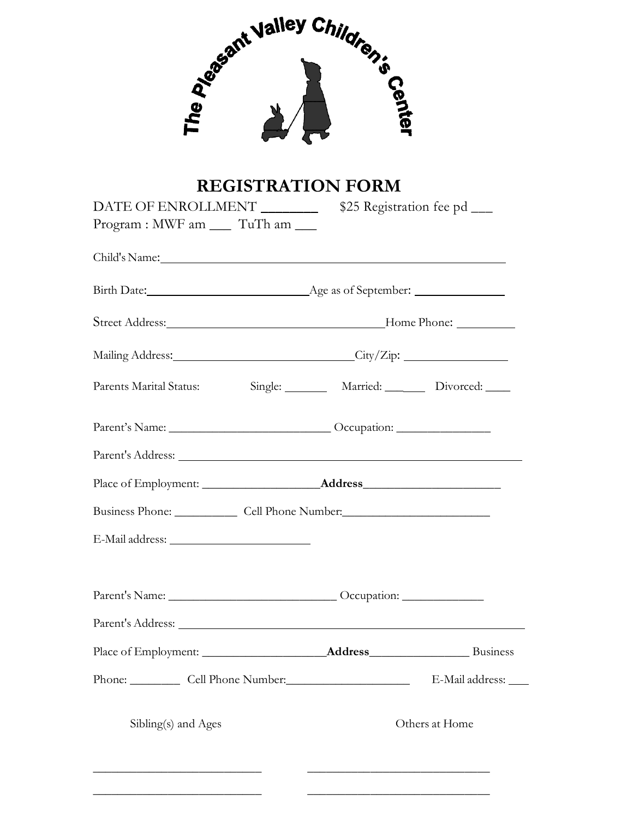

# **REGISTRATION FORM**

| DATE OF ENROLLMENT                                                                                                                                                                                                             |  |  | \$25 Registration fee pd ____ |  |
|--------------------------------------------------------------------------------------------------------------------------------------------------------------------------------------------------------------------------------|--|--|-------------------------------|--|
| Program : MWF am __ TuTh am __                                                                                                                                                                                                 |  |  |                               |  |
| Child's Name: Lawrence and the same state of the state of the state of the state of the state of the state of the state of the state of the state of the state of the state of the state of the state of the state of the stat |  |  |                               |  |
|                                                                                                                                                                                                                                |  |  |                               |  |
|                                                                                                                                                                                                                                |  |  |                               |  |
| Mailing Address: City/Zip: City/Zip:                                                                                                                                                                                           |  |  |                               |  |
|                                                                                                                                                                                                                                |  |  |                               |  |
|                                                                                                                                                                                                                                |  |  |                               |  |
|                                                                                                                                                                                                                                |  |  |                               |  |
|                                                                                                                                                                                                                                |  |  |                               |  |
| Business Phone: Cell Phone Number:                                                                                                                                                                                             |  |  |                               |  |
|                                                                                                                                                                                                                                |  |  |                               |  |
|                                                                                                                                                                                                                                |  |  |                               |  |
|                                                                                                                                                                                                                                |  |  |                               |  |
|                                                                                                                                                                                                                                |  |  |                               |  |
| Phone: Cell Phone Number:                                                                                                                                                                                                      |  |  | E-Mail address:               |  |
| Sibling(s) and Ages                                                                                                                                                                                                            |  |  | Others at Home                |  |
|                                                                                                                                                                                                                                |  |  |                               |  |

**\_\_\_\_\_\_\_\_\_\_\_\_\_\_\_\_\_\_\_\_\_\_\_\_\_\_\_ \_\_\_\_\_\_\_\_\_\_\_\_\_\_\_\_\_\_\_\_\_\_\_\_\_\_\_\_\_**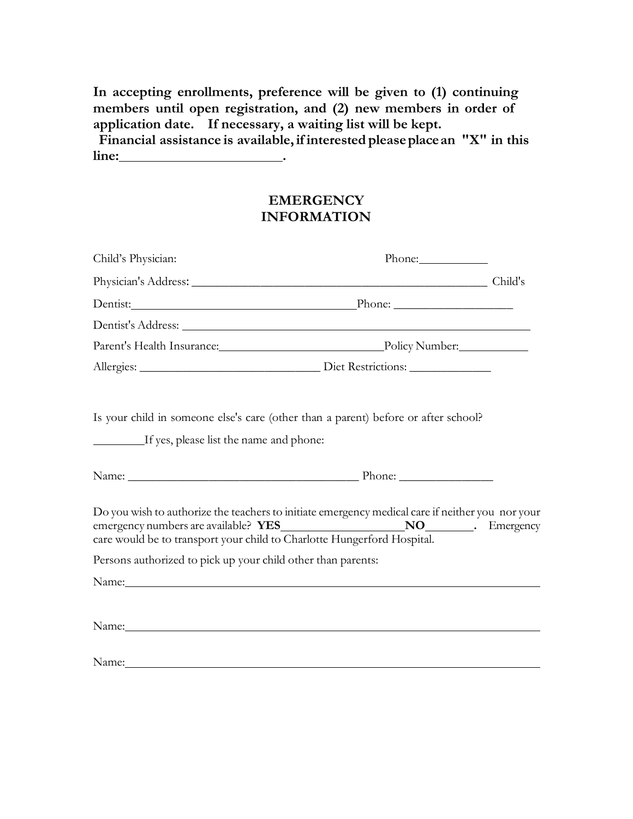**In accepting enrollments, preference will be given to (1) continuing members until open registration, and (2) new members in order of application date. If necessary, a waiting list will be kept. Financial assistance is available,if interested pleaseplacean "X" in this line: .**

> **EMERGENCY INFORMATION**

| Child's Physician:                                                                                                                                                                                                            | Phone:                                                                                                                                                                                                                        |  |
|-------------------------------------------------------------------------------------------------------------------------------------------------------------------------------------------------------------------------------|-------------------------------------------------------------------------------------------------------------------------------------------------------------------------------------------------------------------------------|--|
|                                                                                                                                                                                                                               | Physician's Address: Child's                                                                                                                                                                                                  |  |
|                                                                                                                                                                                                                               | Dentist: Phone: Phone: Phone:                                                                                                                                                                                                 |  |
|                                                                                                                                                                                                                               |                                                                                                                                                                                                                               |  |
|                                                                                                                                                                                                                               | Parent's Health Insurance: Policy Number: Policy Number:                                                                                                                                                                      |  |
|                                                                                                                                                                                                                               |                                                                                                                                                                                                                               |  |
| Is your child in someone else's care (other than a parent) before or after school?<br>If yes, please list the name and phone:                                                                                                 |                                                                                                                                                                                                                               |  |
|                                                                                                                                                                                                                               |                                                                                                                                                                                                                               |  |
| care would be to transport your child to Charlotte Hungerford Hospital.                                                                                                                                                       | Do you wish to authorize the teachers to initiate emergency medical care if neither you nor your                                                                                                                              |  |
| Persons authorized to pick up your child other than parents:                                                                                                                                                                  |                                                                                                                                                                                                                               |  |
|                                                                                                                                                                                                                               | Name: Name and the second contract of the second contract of the second contract of the second contract of the second contract of the second contract of the second contract of the second contract of the second contract of |  |
| Name: Name and the second contract of the second contract of the second contract of the second contract of the second contract of the second contract of the second contract of the second contract of the second contract of |                                                                                                                                                                                                                               |  |
| Name: Name:                                                                                                                                                                                                                   |                                                                                                                                                                                                                               |  |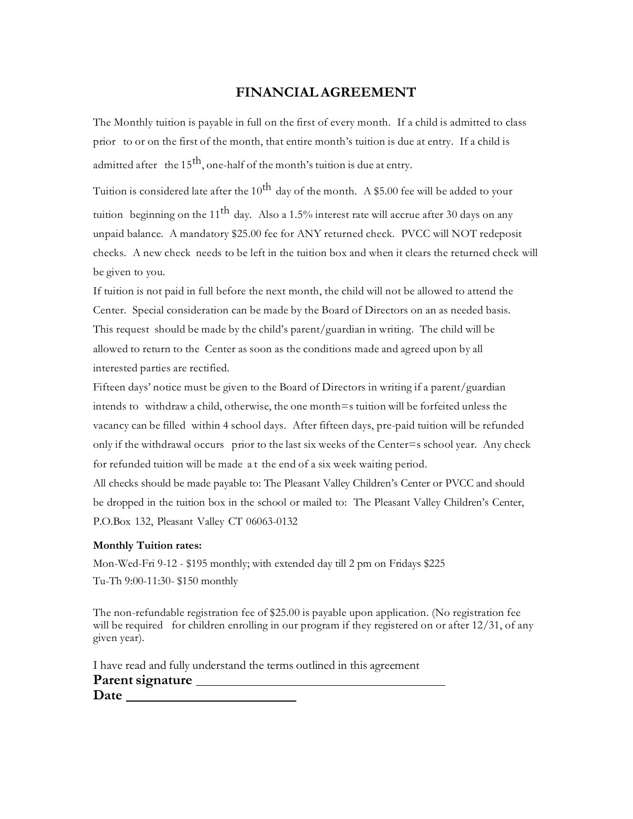#### **FINANCIALAGREEMENT**

The Monthly tuition is payable in full on the first of every month. If a child is admitted to class prior to or on the first of the month, that entire month's tuition is due at entry. If a child is admitted after the 15<sup>th</sup>, one-half of the month's tuition is due at entry.

Tuition is considered late after the 10<sup>th</sup> day of the month. A \$5.00 fee will be added to your tuition beginning on the 11<sup>th</sup> day. Also a 1.5% interest rate will accrue after 30 days on any unpaid balance. A mandatory \$25.00 fee for ANY returned check. PVCC will NOT redeposit checks. A new check needs to be left in the tuition box and when it clears the returned check will be given to you.

If tuition is not paid in full before the next month, the child will not be allowed to attend the Center. Special consideration can be made by the Board of Directors on an as needed basis. This request should be made by the child's parent/guardian in writing. The child will be allowed to return to the Center as soon as the conditions made and agreed upon by all interested parties are rectified.

Fifteen days' notice must be given to the Board of Directors in writing if a parent/guardian intends to withdraw a child, otherwise, the one month=s tuition will be forfeited unless the vacancy can be filled within 4 school days. After fifteen days, pre-paid tuition will be refunded only if the withdrawal occurs prior to the last six weeks of the Center=s school year. Any check for refunded tuition will be made a t the end of a six week waiting period.

All checks should be made payable to: The Pleasant Valley Children's Center or PVCC and should be dropped in the tuition box in the school or mailed to: The Pleasant Valley Children's Center, P.O.Box 132, Pleasant Valley CT 06063-0132

#### **Monthly Tuition rates:**

Mon-Wed-Fri 9-12 - \$195 monthly; with extended day till 2 pm on Fridays \$225 Tu-Th 9:00-11:30- \$150 monthly

The non-refundable registration fee of \$25.00 is payable upon application. (No registration fee will be required for children enrolling in our program if they registered on or after 12/31, of any given year).

I have read and fully understand the terms outlined in this agreement Parent **signature Date**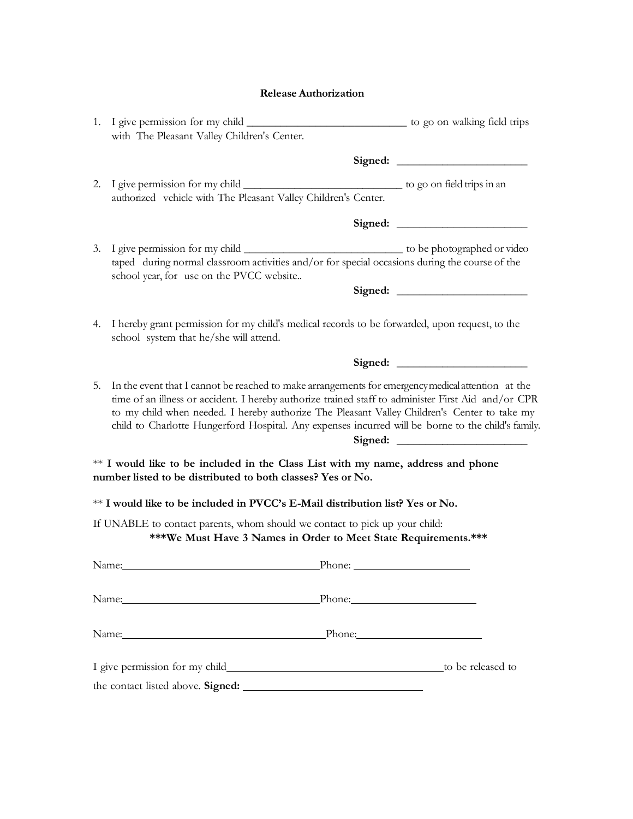|    | with The Pleasant Valley Children's Center.                                                                                                                                                                                                                                                                                                                                                                    |  |
|----|----------------------------------------------------------------------------------------------------------------------------------------------------------------------------------------------------------------------------------------------------------------------------------------------------------------------------------------------------------------------------------------------------------------|--|
|    |                                                                                                                                                                                                                                                                                                                                                                                                                |  |
|    | authorized vehicle with The Pleasant Valley Children's Center.                                                                                                                                                                                                                                                                                                                                                 |  |
|    |                                                                                                                                                                                                                                                                                                                                                                                                                |  |
|    | school year, for use on the PVCC website                                                                                                                                                                                                                                                                                                                                                                       |  |
|    |                                                                                                                                                                                                                                                                                                                                                                                                                |  |
|    | 4. I hereby grant permission for my child's medical records to be forwarded, upon request, to the<br>school system that he/she will attend.                                                                                                                                                                                                                                                                    |  |
|    |                                                                                                                                                                                                                                                                                                                                                                                                                |  |
| 5. | In the event that I cannot be reached to make arrangements for emergency medical attention at the<br>time of an illness or accident. I hereby authorize trained staff to administer First Aid and/or CPR<br>to my child when needed. I hereby authorize The Pleasant Valley Children's Center to take my<br>child to Charlotte Hungerford Hospital. Any expenses incurred will be borne to the child's family. |  |
|    | ** I would like to be included in the Class List with my name, address and phone<br>number listed to be distributed to both classes? Yes or No.                                                                                                                                                                                                                                                                |  |
|    | ** I would like to be included in PVCC's E-Mail distribution list? Yes or No.                                                                                                                                                                                                                                                                                                                                  |  |
|    | If UNABLE to contact parents, whom should we contact to pick up your child:<br>***We Must Have 3 Names in Order to Meet State Requirements.***                                                                                                                                                                                                                                                                 |  |
|    | Name: Phone: Phone: Phone: 2014                                                                                                                                                                                                                                                                                                                                                                                |  |
|    | Name: Phone: Phone: Phone: Phone: Phone: Phone: Phone: Phone: Phone: Phone: Phone: Phone: Phone: Phone: Phone: Phone: Phone: Phone: Phone: Phone: Phone: Phone: Phone: Phone: Phone: Phone: Phone: Phone: Phone: Phone: Phone:                                                                                                                                                                                 |  |
|    | Name: Phone: Phone: Phone:                                                                                                                                                                                                                                                                                                                                                                                     |  |
|    |                                                                                                                                                                                                                                                                                                                                                                                                                |  |
|    | the contact listed above. Signed:                                                                                                                                                                                                                                                                                                                                                                              |  |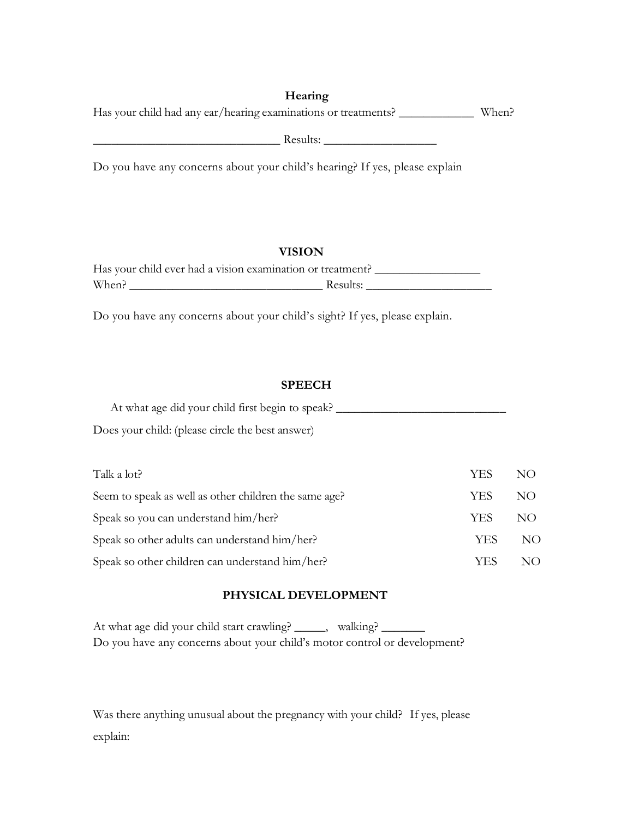| Hearing |  |
|---------|--|
|         |  |

Has your child had any ear/hearing examinations or treatments? **\_\_\_\_\_\_\_\_\_\_\_\_** When?

**\_\_\_\_\_\_\_\_\_\_\_\_\_\_\_\_\_\_\_\_\_\_\_\_\_\_\_\_\_\_** Results: **\_\_\_\_\_\_\_\_\_\_\_\_\_\_\_\_\_\_**

Do you have any concerns about your child's hearing? If yes, please explain

## **VISION**

| Has your child ever had a vision examination or treatment? |          |
|------------------------------------------------------------|----------|
| When?                                                      | Results: |

Do you have any concerns about your child's sight? If yes, please explain.

#### **SPEECH**

| At what age did your child first begin to speak? |  |
|--------------------------------------------------|--|
| Does your child: (please circle the best answer) |  |

| Talk a lot?                                           | YES | NO. |
|-------------------------------------------------------|-----|-----|
| Seem to speak as well as other children the same age? | YES | NO. |
| Speak so you can understand him/her?                  | YES | NO. |
| Speak so other adults can understand him/her?         | YES | NO  |
| Speak so other children can understand him/her?       | YES | NΟ  |

## **PHYSICAL DEVELOPMENT**

At what age did your child start crawling? \_\_\_\_\_, walking? \_ Do you have any concerns about your child's motor control or development?

Was there anything unusual about the pregnancy with your child? If yes, please explain: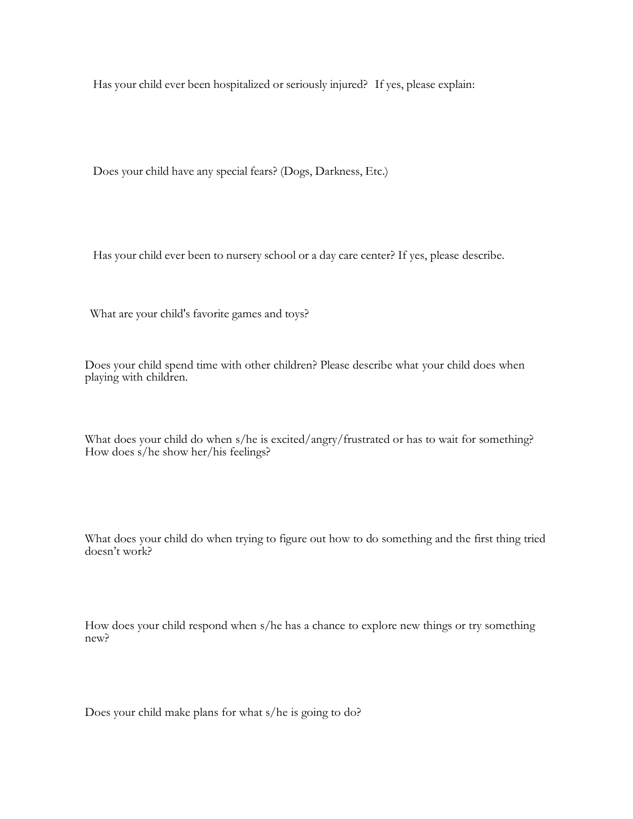Has your child ever been hospitalized or seriously injured? If yes, please explain:

Does your child have any special fears? (Dogs, Darkness, Etc.)

Has your child ever been to nursery school or a day care center? If yes, please describe.

What are your child's favorite games and toys?

Does your child spend time with other children? Please describe what your child does when playing with children.

What does your child do when s/he is excited/angry/frustrated or has to wait for something? How does s/he show her/his feelings?

What does your child do when trying to figure out how to do something and the first thing tried doesn't work?

How does your child respond when s/he has a chance to explore new things or try something new?

Does your child make plans for what s/he is going to do?